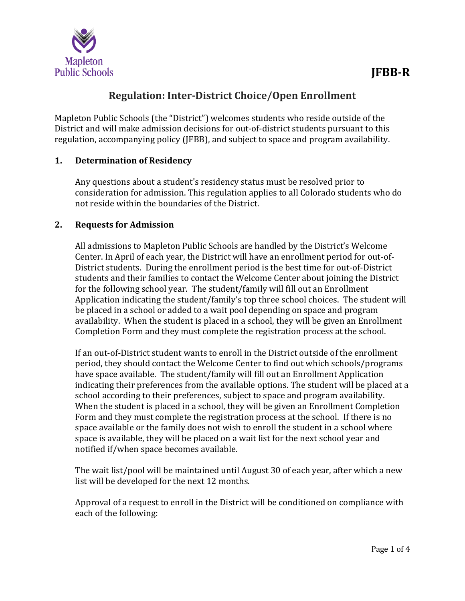

# **Regulation: Inter-District Choice/Open Enrollment**

Mapleton Public Schools (the "District") welcomes students who reside outside of the District and will make admission decisions for out-of-district students pursuant to this regulation, accompanying policy (JFBB), and subject to space and program availability.

## **1. Determination of Residency**

Any questions about a student's residency status must be resolved prior to consideration for admission. This regulation applies to all Colorado students who do not reside within the boundaries of the District.

## **2. Requests for Admission**

All admissions to Mapleton Public Schools are handled by the District's Welcome Center. In April of each year, the District will have an enrollment period for out-of-District students. During the enrollment period is the best time for out-of-District students and their families to contact the Welcome Center about joining the District for the following school year. The student/family will fill out an Enrollment Application indicating the student/family's top three school choices. The student will be placed in a school or added to a wait pool depending on space and program availability. When the student is placed in a school, they will be given an Enrollment Completion Form and they must complete the registration process at the school.

If an out-of-District student wants to enroll in the District outside of the enrollment period, they should contact the Welcome Center to find out which schools/programs have space available. The student/family will fill out an Enrollment Application indicating their preferences from the available options. The student will be placed at a school according to their preferences, subject to space and program availability. When the student is placed in a school, they will be given an Enrollment Completion Form and they must complete the registration process at the school. If there is no space available or the family does not wish to enroll the student in a school where space is available, they will be placed on a wait list for the next school year and notified if/when space becomes available.

The wait list/pool will be maintained until August 30 of each year, after which a new list will be developed for the next 12 months.

Approval of a request to enroll in the District will be conditioned on compliance with each of the following: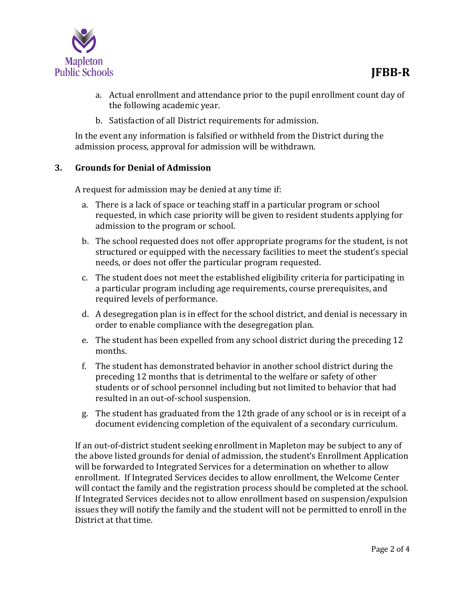

- a. Actual enrollment and attendance prior to the pupil enrollment count day of the following academic year.
- b. Satisfaction of all District requirements for admission.

In the event any information is falsified or withheld from the District during the admission process, approval for admission will be withdrawn.

# **3. Grounds for Denial of Admission**

A request for admission may be denied at any time if:

- a. There is a lack of space or teaching staff in a particular program or school requested, in which case priority will be given to resident students applying for admission to the program or school.
- b. The school requested does not offer appropriate programs for the student, is not structured or equipped with the necessary facilities to meet the student's special needs, or does not offer the particular program requested.
- c. The student does not meet the established eligibility criteria for participating in a particular program including age requirements, course prerequisites, and required levels of performance.
- d. A desegregation plan is in effect for the school district, and denial is necessary in order to enable compliance with the desegregation plan.
- e. The student has been expelled from any school district during the preceding 12 months.
- f. The student has demonstrated behavior in another school district during the preceding 12 months that is detrimental to the welfare or safety of other students or of school personnel including but not limited to behavior that had resulted in an out-of-school suspension.
- g. The student has graduated from the 12th grade of any school or is in receipt of a document evidencing completion of the equivalent of a secondary curriculum.

If an out-of-district student seeking enrollment in Mapleton may be subject to any of the above listed grounds for denial of admission, the student's Enrollment Application will be forwarded to Integrated Services for a determination on whether to allow enrollment. If Integrated Services decides to allow enrollment, the Welcome Center will contact the family and the registration process should be completed at the school. If Integrated Services decides not to allow enrollment based on suspension/expulsion issues they will notify the family and the student will not be permitted to enroll in the District at that time.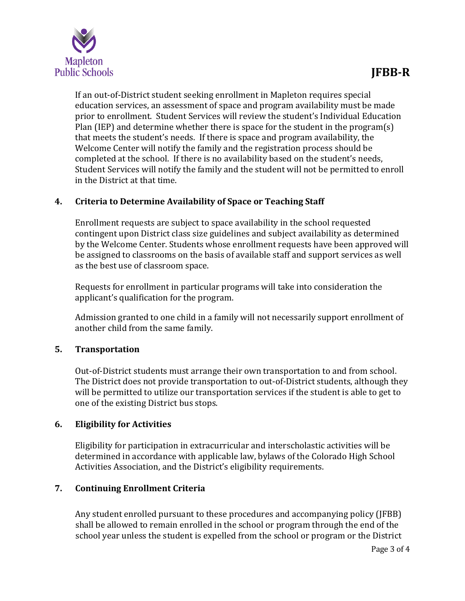

If an out-of-District student seeking enrollment in Mapleton requires special education services, an assessment of space and program availability must be made prior to enrollment. Student Services will review the student's Individual Education Plan (IEP) and determine whether there is space for the student in the program(s) that meets the student's needs. If there is space and program availability, the Welcome Center will notify the family and the registration process should be completed at the school. If there is no availability based on the student's needs, Student Services will notify the family and the student will not be permitted to enroll in the District at that time.

## **4. Criteria to Determine Availability of Space or Teaching Staff**

Enrollment requests are subject to space availability in the school requested contingent upon District class size guidelines and subject availability as determined by the Welcome Center. Students whose enrollment requests have been approved will be assigned to classrooms on the basis of available staff and support services as well as the best use of classroom space.

Requests for enrollment in particular programs will take into consideration the applicant's qualification for the program.

Admission granted to one child in a family will not necessarily support enrollment of another child from the same family.

# **5. Transportation**

Out-of-District students must arrange their own transportation to and from school. The District does not provide transportation to out-of-District students, although they will be permitted to utilize our transportation services if the student is able to get to one of the existing District bus stops.

## **6. Eligibility for Activities**

Eligibility for participation in extracurricular and interscholastic activities will be determined in accordance with applicable law, bylaws of the Colorado High School Activities Association, and the District's eligibility requirements.

# **7. Continuing Enrollment Criteria**

Any student enrolled pursuant to these procedures and accompanying policy (JFBB) shall be allowed to remain enrolled in the school or program through the end of the school year unless the student is expelled from the school or program or the District